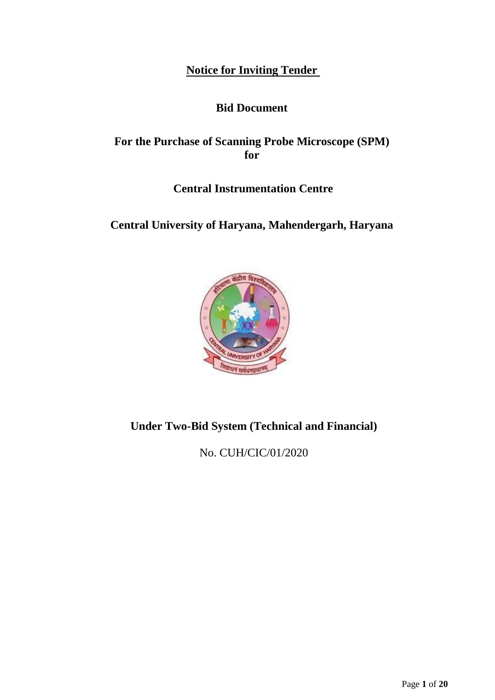**Notice for Inviting Tender** 

# **Bid Document**

# **For the Purchase of Scanning Probe Microscope (SPM) for**

# **Central Instrumentation Centre**

# **Central University of Haryana, Mahendergarh, Haryana**



# **Under Two-Bid System (Technical and Financial)**

No. CUH/CIC/01/2020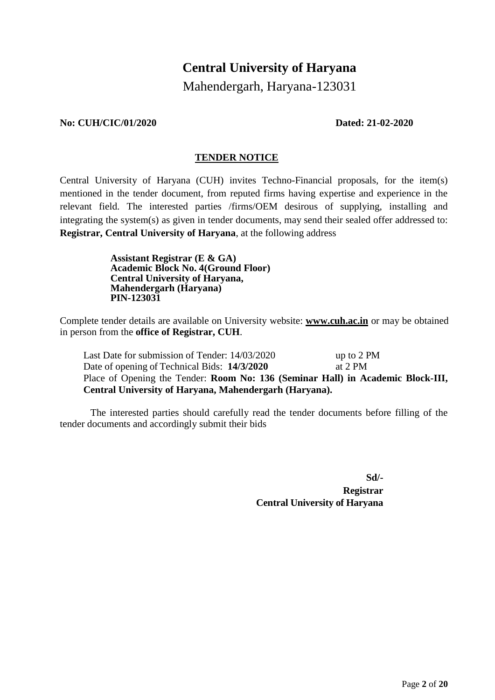# **Central University of Haryana**

Mahendergarh, Haryana-123031

### **No: CUH/CIC/01/2020 Dated: 21-02-2020**

## **TENDER NOTICE**

Central University of Haryana (CUH) invites Techno-Financial proposals, for the item(s) mentioned in the tender document, from reputed firms having expertise and experience in the relevant field. The interested parties /firms/OEM desirous of supplying, installing and integrating the system(s) as given in tender documents, may send their sealed offer addressed to: **Registrar, Central University of Haryana**, at the following address

> **Assistant Registrar (E & GA) Academic Block No. 4(Ground Floor) Central University of Haryana, Mahendergarh (Haryana) PIN-123031**

Complete tender details are available on University website: **[www.cuh.ac.in](http://www.cuh.ac.in/)** or may be obtained in person from the **office of Registrar, CUH**.

Last Date for submission of Tender:  $14/03/2020$  up to 2 PM Date of opening of Technical Bids: **14/3/2020** at 2 PM Place of Opening the Tender: **Room No: 136 (Seminar Hall) in Academic Block-III, Central University of Haryana, Mahendergarh (Haryana).**

The interested parties should carefully read the tender documents before filling of the tender documents and accordingly submit their bids

**Sd/-**

**Registrar Central University of Haryana**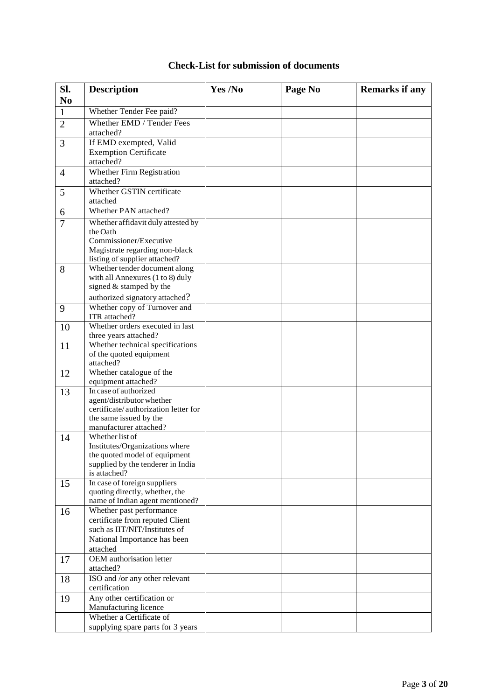| <b>Check-List for submission of documents</b> |  |  |  |
|-----------------------------------------------|--|--|--|
|-----------------------------------------------|--|--|--|

| Sl.            | <b>Description</b>                                                 | Yes /No | Page No | <b>Remarks if any</b> |
|----------------|--------------------------------------------------------------------|---------|---------|-----------------------|
| N <sub>0</sub> |                                                                    |         |         |                       |
| 1              | Whether Tender Fee paid?                                           |         |         |                       |
| $\overline{2}$ | Whether EMD / Tender Fees                                          |         |         |                       |
|                | attached?                                                          |         |         |                       |
| 3              | If EMD exempted, Valid                                             |         |         |                       |
|                | <b>Exemption Certificate</b>                                       |         |         |                       |
|                | attached?                                                          |         |         |                       |
| 4              | Whether Firm Registration                                          |         |         |                       |
|                | attached?<br>Whether GSTIN certificate                             |         |         |                       |
| 5              | attached                                                           |         |         |                       |
| 6              | Whether PAN attached?                                              |         |         |                       |
| $\overline{7}$ | Whether affidavit duly attested by                                 |         |         |                       |
|                | the Oath                                                           |         |         |                       |
|                | Commissioner/Executive                                             |         |         |                       |
|                | Magistrate regarding non-black                                     |         |         |                       |
|                | listing of supplier attached?<br>Whether tender document along     |         |         |                       |
| 8              | with all Annexures (1 to 8) duly                                   |         |         |                       |
|                | signed & stamped by the                                            |         |         |                       |
|                | authorized signatory attached?                                     |         |         |                       |
| 9              | Whether copy of Turnover and                                       |         |         |                       |
|                | ITR attached?                                                      |         |         |                       |
| 10             | Whether orders executed in last                                    |         |         |                       |
|                | three years attached?<br>Whether technical specifications          |         |         |                       |
| 11             | of the quoted equipment                                            |         |         |                       |
|                | attached?                                                          |         |         |                       |
| 12             | Whether catalogue of the                                           |         |         |                       |
|                | equipment attached?                                                |         |         |                       |
| 13             | In case of authorized                                              |         |         |                       |
|                | agent/distributor whether<br>certificate/authorization letter for  |         |         |                       |
|                | the same issued by the                                             |         |         |                       |
|                | manufacturer attached?                                             |         |         |                       |
| 14             | Whether list of                                                    |         |         |                       |
|                | Institutes/Organizations where                                     |         |         |                       |
|                | the quoted model of equipment<br>supplied by the tenderer in India |         |         |                       |
|                | is attached?                                                       |         |         |                       |
| 15             | In case of foreign suppliers                                       |         |         |                       |
|                | quoting directly, whether, the                                     |         |         |                       |
|                | name of Indian agent mentioned?                                    |         |         |                       |
| 16             | Whether past performance                                           |         |         |                       |
|                | certificate from reputed Client<br>such as IIT/NIT/Institutes of   |         |         |                       |
|                | National Importance has been                                       |         |         |                       |
|                | attached                                                           |         |         |                       |
| 17             | <b>OEM</b> authorisation letter                                    |         |         |                       |
|                | attached?                                                          |         |         |                       |
| 18             | ISO and /or any other relevant                                     |         |         |                       |
|                | certification                                                      |         |         |                       |
| 19             | Any other certification or<br>Manufacturing licence                |         |         |                       |
|                | Whether a Certificate of                                           |         |         |                       |
|                | supplying spare parts for 3 years                                  |         |         |                       |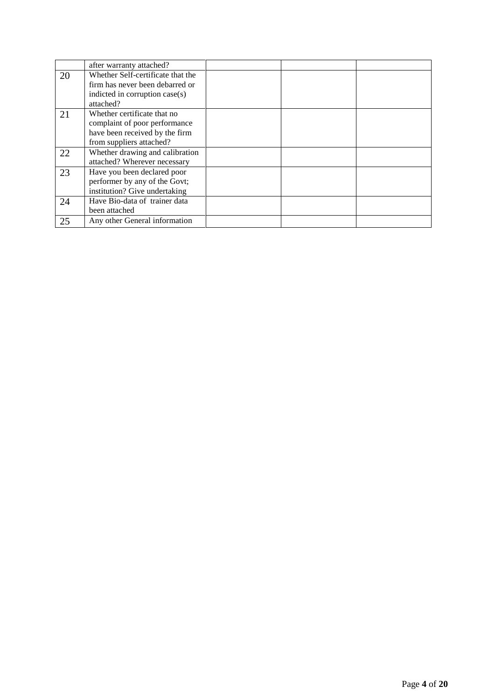|    | after warranty attached?          |  |  |
|----|-----------------------------------|--|--|
| 20 | Whether Self-certificate that the |  |  |
|    | firm has never been debarred or   |  |  |
|    | indicted in corruption case(s)    |  |  |
|    | attached?                         |  |  |
| 21 | Whether certificate that no       |  |  |
|    | complaint of poor performance     |  |  |
|    | have been received by the firm    |  |  |
|    | from suppliers attached?          |  |  |
| 22 | Whether drawing and calibration   |  |  |
|    | attached? Wherever necessary      |  |  |
| 23 | Have you been declared poor       |  |  |
|    | performer by any of the Govt;     |  |  |
|    | institution? Give undertaking     |  |  |
| 24 | Have Bio-data of trainer data     |  |  |
|    | been attached                     |  |  |
| 25 | Any other General information     |  |  |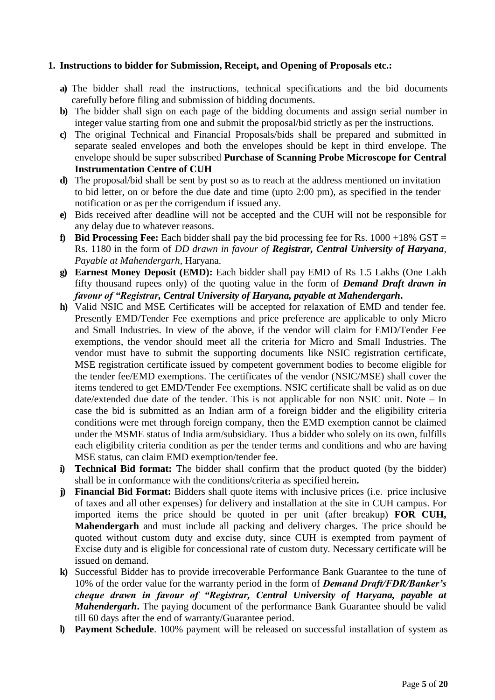# **1. Instructions to bidder for Submission, Receipt, and Opening of Proposals etc.:**

- **a)** The bidder shall read the instructions, technical specifications and the bid documents carefully before filing and submission of bidding documents.
- **b)** The bidder shall sign on each page of the bidding documents and assign serial number in integer value starting from one and submit the proposal/bid strictly as per the instructions.
- **c)** The original Technical and Financial Proposals/bids shall be prepared and submitted in separate sealed envelopes and both the envelopes should be kept in third envelope. The envelope should be super subscribed **Purchase of Scanning Probe Microscope for Central Instrumentation Centre of CUH**
- **d)** The proposal/bid shall be sent by post so as to reach at the address mentioned on invitation to bid letter, on or before the due date and time (upto 2:00 pm), as specified in the tender notification or as per the corrigendum if issued any.
- **e)** Bids received after deadline will not be accepted and the CUH will not be responsible for any delay due to whatever reasons.
- **f) Bid Processing Fee:** Each bidder shall pay the bid processing fee for Rs. 1000 +18% GST = Rs. 1180 in the form of *DD drawn in favour of Registrar, Central University of Haryana, Payable at Mahendergarh*, Haryana.
- **g) Earnest Money Deposit (EMD):** Each bidder shall pay EMD of Rs 1.5 Lakhs (One Lakh fifty thousand rupees only) of the quoting value in the form of *Demand Draft drawn in favour of "Registrar, Central University of Haryana, payable at Mahendergarh***.**
- **h)** Valid NSIC and MSE Certificates will be accepted for relaxation of EMD and tender fee. Presently EMD/Tender Fee exemptions and price preference are applicable to only Micro and Small Industries. In view of the above, if the vendor will claim for EMD/Tender Fee exemptions, the vendor should meet all the criteria for Micro and Small Industries. The vendor must have to submit the supporting documents like NSIC registration certificate, MSE registration certificate issued by competent government bodies to become eligible for the tender fee/EMD exemptions. The certificates of the vendor (NSIC/MSE) shall cover the items tendered to get EMD/Tender Fee exemptions. NSIC certificate shall be valid as on due date/extended due date of the tender. This is not applicable for non NSIC unit. Note – In case the bid is submitted as an Indian arm of a foreign bidder and the eligibility criteria conditions were met through foreign company, then the EMD exemption cannot be claimed under the MSME status of India arm/subsidiary. Thus a bidder who solely on its own, fulfills each eligibility criteria condition as per the tender terms and conditions and who are having MSE status, can claim EMD exemption/tender fee.
- **i) Technical Bid format:** The bidder shall confirm that the product quoted (by the bidder) shall be in conformance with the conditions/criteria as specified herein**.**
- **j) Financial Bid Format:** Bidders shall quote items with inclusive prices (i.e. price inclusive of taxes and all other expenses) for delivery and installation at the site in CUH campus. For imported items the price should be quoted in per unit (after breakup) **FOR CUH, Mahendergarh** and must include all packing and delivery charges. The price should be quoted without custom duty and excise duty, since CUH is exempted from payment of Excise duty and is eligible for concessional rate of custom duty. Necessary certificate will be issued on demand.
- **k)** Successful Bidder has to provide irrecoverable Performance Bank Guarantee to the tune of 10% of the order value for the warranty period in the form of *Demand Draft/FDR/Banker's cheque drawn in favour of "Registrar, Central University of Haryana, payable at Mahendergarh*. The paying document of the performance Bank Guarantee should be valid till 60 days after the end of warranty/Guarantee period.
- **l) Payment Schedule**. 100% payment will be released on successful installation of system as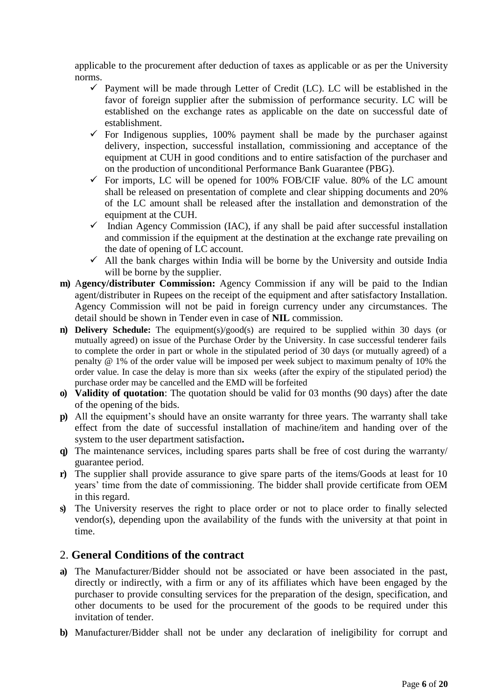applicable to the procurement after deduction of taxes as applicable or as per the University norms.

- $\checkmark$  Payment will be made through Letter of Credit (LC). LC will be established in the favor of foreign supplier after the submission of performance security. LC will be established on the exchange rates as applicable on the date on successful date of establishment.
- $\checkmark$  For Indigenous supplies, 100% payment shall be made by the purchaser against delivery, inspection, successful installation, commissioning and acceptance of the equipment at CUH in good conditions and to entire satisfaction of the purchaser and on the production of unconditional Performance Bank Guarantee (PBG).
- $\checkmark$  For imports, LC will be opened for 100% FOB/CIF value. 80% of the LC amount shall be released on presentation of complete and clear shipping documents and 20% of the LC amount shall be released after the installation and demonstration of the equipment at the CUH.
- $\checkmark$  Indian Agency Commission (IAC), if any shall be paid after successful installation and commission if the equipment at the destination at the exchange rate prevailing on the date of opening of LC account.
- $\checkmark$  All the bank charges within India will be borne by the University and outside India will be borne by the supplier.
- **m)** A**gency/distributer Commission:** Agency Commission if any will be paid to the Indian agent/distributer in Rupees on the receipt of the equipment and after satisfactory Installation. Agency Commission will not be paid in foreign currency under any circumstances. The detail should be shown in Tender even in case of **NIL** commission.
- **n) Delivery Schedule:** The equipment(s)/good(s) are required to be supplied within 30 days (or mutually agreed) on issue of the Purchase Order by the University. In case successful tenderer fails to complete the order in part or whole in the stipulated period of 30 days (or mutually agreed) of a penalty @ 1% of the order value will be imposed per week subject to maximum penalty of 10% the order value. In case the delay is more than six weeks (after the expiry of the stipulated period) the purchase order may be cancelled and the EMD will be forfeited
- **o) Validity of quotation**: The quotation should be valid for 03 months (90 days) after the date of the opening of the bids.
- **p)** All the equipment's should have an onsite warranty for three years. The warranty shall take effect from the date of successful installation of machine/item and handing over of the system to the user department satisfaction**.**
- **q)** The maintenance services, including spares parts shall be free of cost during the warranty/ guarantee period.
- **r)** The supplier shall provide assurance to give spare parts of the items/Goods at least for 10 years' time from the date of commissioning. The bidder shall provide certificate from OEM in this regard.
- **s)** The University reserves the right to place order or not to place order to finally selected vendor(s), depending upon the availability of the funds with the university at that point in time.

# 2. **General Conditions of the contract**

- **a)** The Manufacturer/Bidder should not be associated or have been associated in the past, directly or indirectly, with a firm or any of its affiliates which have been engaged by the purchaser to provide consulting services for the preparation of the design, specification, and other documents to be used for the procurement of the goods to be required under this invitation of tender.
- **b)** Manufacturer/Bidder shall not be under any declaration of ineligibility for corrupt and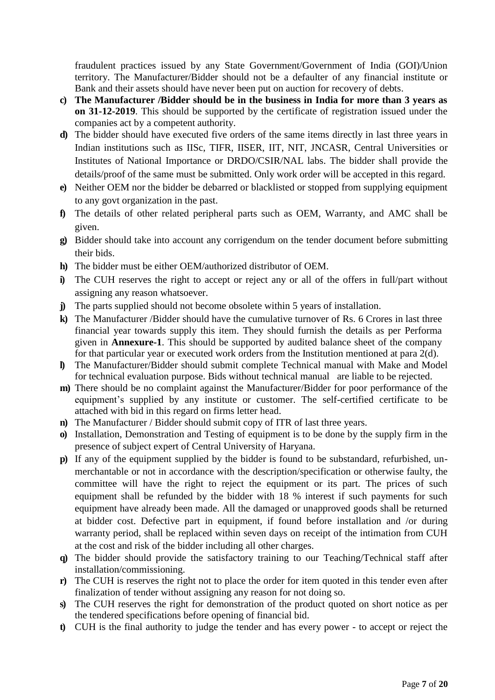fraudulent practices issued by any State Government/Government of India (GOI)/Union territory. The Manufacturer/Bidder should not be a defaulter of any financial institute or Bank and their assets should have never been put on auction for recovery of debts.

- **c) The Manufacturer /Bidder should be in the business in India for more than 3 years as on 31-12-2019**. This should be supported by the certificate of registration issued under the companies act by a competent authority.
- **d)** The bidder should have executed five orders of the same items directly in last three years in Indian institutions such as IISc, TIFR, IISER, IIT, NIT, JNCASR, Central Universities or Institutes of National Importance or DRDO/CSIR/NAL labs. The bidder shall provide the details/proof of the same must be submitted. Only work order will be accepted in this regard.
- **e)** Neither OEM nor the bidder be debarred or blacklisted or stopped from supplying equipment to any govt organization in the past.
- **f)** The details of other related peripheral parts such as OEM, Warranty, and AMC shall be given.
- **g)** Bidder should take into account any corrigendum on the tender document before submitting their bids.
- **h)** The bidder must be either OEM/authorized distributor of OEM.
- **i)** The CUH reserves the right to accept or reject any or all of the offers in full/part without assigning any reason whatsoever.
- **j**) The parts supplied should not become obsolete within 5 years of installation.
- **k)** The Manufacturer /Bidder should have the cumulative turnover of Rs. 6 Crores in last three financial year towards supply this item. They should furnish the details as per Performa given in **Annexure-1**. This should be supported by audited balance sheet of the company for that particular year or executed work orders from the Institution mentioned at para 2(d).
- **l)** The Manufacturer/Bidder should submit complete Technical manual with Make and Model for technical evaluation purpose. Bids without technical manual are liable to be rejected.
- **m)** There should be no complaint against the Manufacturer/Bidder for poor performance of the equipment's supplied by any institute or customer. The self-certified certificate to be attached with bid in this regard on firms letter head.
- **n)** The Manufacturer / Bidder should submit copy of ITR of last three years.
- **o)** Installation, Demonstration and Testing of equipment is to be done by the supply firm in the presence of subject expert of Central University of Haryana.
- **p)** If any of the equipment supplied by the bidder is found to be substandard, refurbished, unmerchantable or not in accordance with the description/specification or otherwise faulty, the committee will have the right to reject the equipment or its part. The prices of such equipment shall be refunded by the bidder with 18 % interest if such payments for such equipment have already been made. All the damaged or unapproved goods shall be returned at bidder cost. Defective part in equipment, if found before installation and /or during warranty period, shall be replaced within seven days on receipt of the intimation from CUH at the cost and risk of the bidder including all other charges.
- **q)** The bidder should provide the satisfactory training to our Teaching/Technical staff after installation/commissioning.
- **r)** The CUH is reserves the right not to place the order for item quoted in this tender even after finalization of tender without assigning any reason for not doing so.
- **s)** The CUH reserves the right for demonstration of the product quoted on short notice as per the tendered specifications before opening of financial bid.
- **t)** CUH is the final authority to judge the tender and has every power to accept or reject the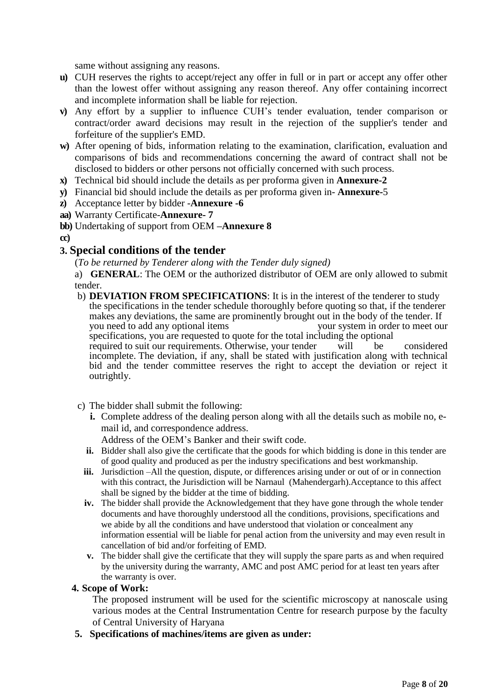same without assigning any reasons.

- **u)** CUH reserves the rights to accept/reject any offer in full or in part or accept any offer other than the lowest offer without assigning any reason thereof. Any offer containing incorrect and incomplete information shall be liable for rejection.
- **v)** Any effort by a supplier to influence CUH's tender evaluation, tender comparison or contract/order award decisions may result in the rejection of the supplier's tender and forfeiture of the supplier's EMD.
- w) After opening of bids, information relating to the examination, clarification, evaluation and comparisons of bids and recommendations concerning the award of contract shall not be disclosed to bidders or other persons not officially concerned with such process.
- **x)** Technical bid should include the details as per proforma given in **Annexure-2**
- **y)** Financial bid should include the details as per proforma given in- **Annexure-**5
- **z)** Acceptance letter by bidder -**Annexure -6**
- **aa)** Warranty Certificate-**Annexure- 7**
- **bb)** Undertaking of support from OEM **–Annexure 8**
- **cc)**

# **3. Special conditions of the tender**

(*To be returned by Tenderer along with the Tender duly signed)* 

a) **GENERAL**: The OEM or the authorized distributor of OEM are only allowed to submit tender.

- b) **DEVIATION FROM SPECIFICATIONS**: It is in the interest of the tenderer to study the specifications in the tender schedule thoroughly before quoting so that, if the tenderer makes any deviations, the same are prominently brought out in the body of the tender. If<br>you need to add any optional items<br>wour system in order to meet our you need to add any optional items specifications, you are requested to quote for the total including the optional required to suit our requirements. Otherwise, your tender will be considered incomplete. The deviation, if any, shall be stated with justification along with technical bid and the tender committee reserves the right to accept the deviation or reject it outrightly.
- c) The bidder shall submit the following:
	- **i.** Complete address of the dealing person along with all the details such as mobile no, email id, and correspondence address.
		- Address of the OEM's Banker and their swift code.
	- **ii.** Bidder shall also give the certificate that the goods for which bidding is done in this tender are of good quality and produced as per the industry specifications and best workmanship.
	- **iii.** Jurisdiction –All the question, dispute, or differences arising under or out of or in connection with this contract, the Jurisdiction will be Narnaul (Mahendergarh).Acceptance to this affect shall be signed by the bidder at the time of bidding.
	- **iv.** The bidder shall provide the Acknowledgement that they have gone through the whole tender documents and have thoroughly understood all the conditions, provisions, specifications and we abide by all the conditions and have understood that violation or concealment any information essential will be liable for penal action from the university and may even result in cancellation of bid and/or forfeiting of EMD.
	- **v.** The bidder shall give the certificate that they will supply the spare parts as and when required by the university during the warranty, AMC and post AMC period for at least ten years after the warranty is over.

### **4. Scope of Work:**

The proposed instrument will be used for the scientific microscopy at nanoscale using various modes at the Central Instrumentation Centre for research purpose by the faculty of Central University of Haryana

**5. Specifications of machines/items are given as under:**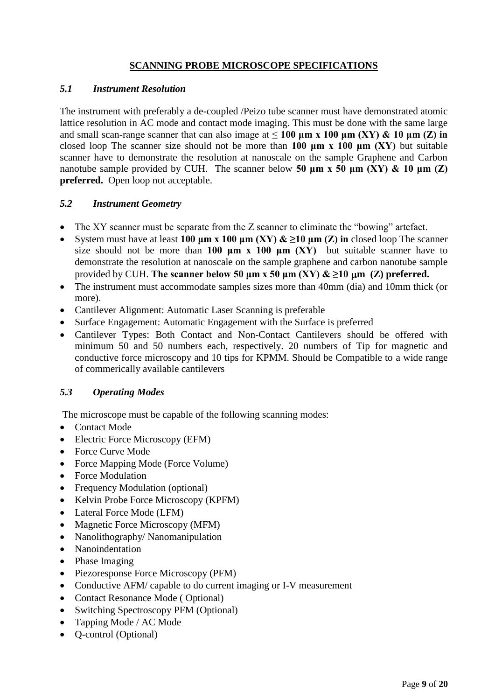# **SCANNING PROBE MICROSCOPE SPECIFICATIONS**

# *5.1 Instrument Resolution*

The instrument with preferably a de-coupled /Peizo tube scanner must have demonstrated atomic lattice resolution in AC mode and contact mode imaging. This must be done with the same large and small scan-range scanner that can also image at ≤ **100 μm x 100 μm (XY) & 10 μm (Z) in** closed loop The scanner size should not be more than **100 μm x 100 μm (XY)** but suitable scanner have to demonstrate the resolution at nanoscale on the sample Graphene and Carbon nanotube sample provided by CUH. The scanner below **50 μm x 50 μm (XY) & 10 μm (Z) preferred.** Open loop not acceptable.

# *5.2 Instrument Geometry*

- The XY scanner must be separate from the Z scanner to eliminate the "bowing" artefact.
- System must have at least 100  $\mu$ m x 100  $\mu$ m (XY)  $\&$   $\geq$ 10  $\mu$ m (Z) in closed loop The scanner size should not be more than **100**  $\mu$ **m x 100**  $\mu$ **m (XY)** but suitable scanner have to demonstrate the resolution at nanoscale on the sample graphene and carbon nanotube sample provided by CUH. The scanner below 50  $\mu$ m x 50  $\mu$ m (XY)  $\&$   $\geq$ 10  $\mu$ m (Z) preferred.
- The instrument must accommodate samples sizes more than 40mm (dia) and 10mm thick (or more).
- Cantilever Alignment: Automatic Laser Scanning is preferable
- Surface Engagement: Automatic Engagement with the Surface is preferred
- Cantilever Types: Both Contact and Non-Contact Cantilevers should be offered with minimum 50 and 50 numbers each, respectively. 20 numbers of Tip for magnetic and conductive force microscopy and 10 tips for KPMM. Should be Compatible to a wide range of commerically available cantilevers

# *5.3 Operating Modes*

The microscope must be capable of the following scanning modes:

- Contact Mode
- Electric Force Microscopy (EFM)
- Force Curve Mode
- Force Mapping Mode (Force Volume)
- Force Modulation
- Frequency Modulation (optional)
- Kelvin Probe Force Microscopy (KPFM)
- Lateral Force Mode (LFM)
- Magnetic Force Microscopy (MFM)
- Nanolithography/ Nanomanipulation
- Nanoindentation
- Phase Imaging
- Piezoresponse Force Microscopy (PFM)
- Conductive AFM/ capable to do current imaging or I-V measurement
- Contact Resonance Mode (Optional)
- Switching Spectroscopy PFM (Optional)
- Tapping Mode / AC Mode
- O-control (Optional)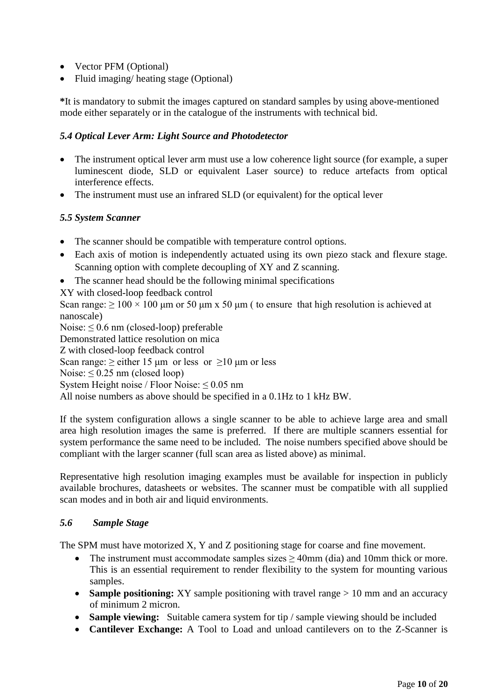- Vector PFM (Optional)
- Fluid imaging/ heating stage (Optional)

**\***It is mandatory to submit the images captured on standard samples by using above-mentioned mode either separately or in the catalogue of the instruments with technical bid.

# *5.4 Optical Lever Arm: Light Source and Photodetector*

- The instrument optical lever arm must use a low coherence light source (for example, a super luminescent diode, SLD or equivalent Laser source) to reduce artefacts from optical interference effects.
- The instrument must use an infrared SLD (or equivalent) for the optical lever

# *5.5 System Scanner*

- The scanner should be compatible with temperature control options.
- Each axis of motion is independently actuated using its own piezo stack and flexure stage. Scanning option with complete decoupling of XY and Z scanning.
- The scanner head should be the following minimal specifications
- XY with closed-loop feedback control

Scan range:  $\geq 100 \times 100$  μm or 50 μm x 50 μm (to ensure that high resolution is achieved at nanoscale)

Noise:  $\leq 0.6$  nm (closed-loop) preferable Demonstrated lattice resolution on mica Z with closed-loop feedback control Scan range:  $>$  either 15 µm or less or  $>10$  µm or less Noise:  $\leq 0.25$  nm (closed loop) System Height noise / Floor Noise:  $\leq 0.05$  nm All noise numbers as above should be specified in a 0.1Hz to 1 kHz BW.

If the system configuration allows a single scanner to be able to achieve large area and small area high resolution images the same is preferred. If there are multiple scanners essential for system performance the same need to be included. The noise numbers specified above should be compliant with the larger scanner (full scan area as listed above) as minimal.

Representative high resolution imaging examples must be available for inspection in publicly available brochures, datasheets or websites. The scanner must be compatible with all supplied scan modes and in both air and liquid environments.

## *5.6 Sample Stage*

The SPM must have motorized X, Y and Z positioning stage for coarse and fine movement.

- The instrument must accommodate samples sizes  $\geq 40$ mm (dia) and 10mm thick or more. This is an essential requirement to render flexibility to the system for mounting various samples.
- **Sample positioning:** XY sample positioning with travel range > 10 mm and an accuracy of minimum 2 micron.
- **Sample viewing:** Suitable camera system for tip / sample viewing should be included
- **Cantilever Exchange:** A Tool to Load and unload cantilevers on to the Z-Scanner is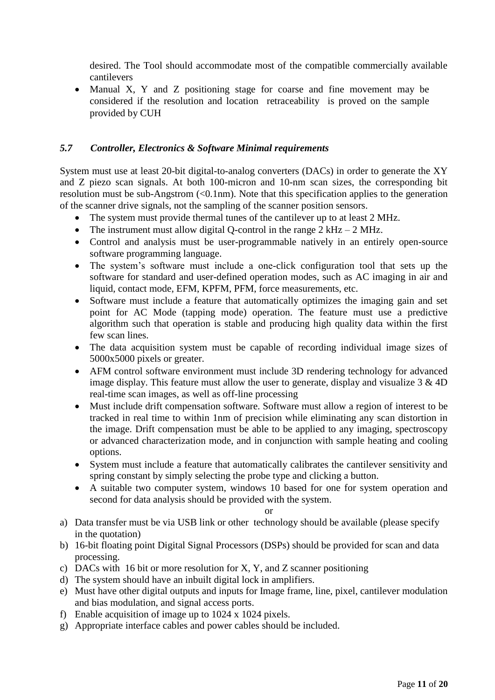desired. The Tool should accommodate most of the compatible commercially available cantilevers

• Manual X, Y and Z positioning stage for coarse and fine movement may be considered if the resolution and location retraceability is proved on the sample provided by CUH

# *5.7 Controller, Electronics & Software Minimal requirements*

System must use at least 20-bit digital-to-analog converters (DACs) in order to generate the XY and Z piezo scan signals. At both 100-micron and 10-nm scan sizes, the corresponding bit resolution must be sub-Angstrom (<0.1nm). Note that this specification applies to the generation of the scanner drive signals, not the sampling of the scanner position sensors.

- The system must provide thermal tunes of the cantilever up to at least 2 MHz.
- The instrument must allow digital Q-control in the range  $2 \text{ kHz} 2 \text{ MHz}$ .
- Control and analysis must be user-programmable natively in an entirely open-source software programming language.
- The system's software must include a one-click configuration tool that sets up the software for standard and user-defined operation modes, such as AC imaging in air and liquid, contact mode, EFM, KPFM, PFM, force measurements, etc.
- Software must include a feature that automatically optimizes the imaging gain and set point for AC Mode (tapping mode) operation. The feature must use a predictive algorithm such that operation is stable and producing high quality data within the first few scan lines.
- The data acquisition system must be capable of recording individual image sizes of 5000x5000 pixels or greater.
- AFM control software environment must include 3D rendering technology for advanced image display. This feature must allow the user to generate, display and visualize  $3 & 4D$ real-time scan images, as well as off-line processing
- Must include drift compensation software. Software must allow a region of interest to be tracked in real time to within 1nm of precision while eliminating any scan distortion in the image. Drift compensation must be able to be applied to any imaging, spectroscopy or advanced characterization mode, and in conjunction with sample heating and cooling options.
- System must include a feature that automatically calibrates the cantilever sensitivity and spring constant by simply selecting the probe type and clicking a button.
- A suitable two computer system, windows 10 based for one for system operation and second for data analysis should be provided with the system.

### or

- a) Data transfer must be via USB link or other technology should be available (please specify in the quotation)
- b) 16-bit floating point Digital Signal Processors (DSPs) should be provided for scan and data processing.
- c) DACs with 16 bit or more resolution for X, Y, and Z scanner positioning
- d) The system should have an inbuilt digital lock in amplifiers.
- e) Must have other digital outputs and inputs for Image frame, line, pixel, cantilever modulation and bias modulation, and signal access ports.
- f) Enable acquisition of image up to 1024 x 1024 pixels.
- g) Appropriate interface cables and power cables should be included.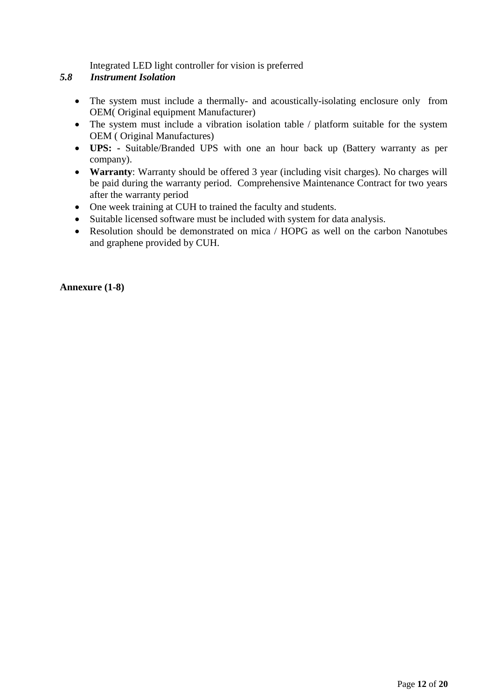Integrated LED light controller for vision is preferred

# *5.8 Instrument Isolation*

- The system must include a thermally- and acoustically-isolating enclosure only from OEM( Original equipment Manufacturer)
- The system must include a vibration isolation table / platform suitable for the system OEM ( Original Manufactures)
- **UPS: -** Suitable/Branded UPS with one an hour back up (Battery warranty as per company).
- **Warranty**: Warranty should be offered 3 year (including visit charges). No charges will be paid during the warranty period. Comprehensive Maintenance Contract for two years after the warranty period
- One week training at CUH to trained the faculty and students.
- Suitable licensed software must be included with system for data analysis.
- Resolution should be demonstrated on mica / HOPG as well on the carbon Nanotubes and graphene provided by CUH.

### **Annexure (1-8)**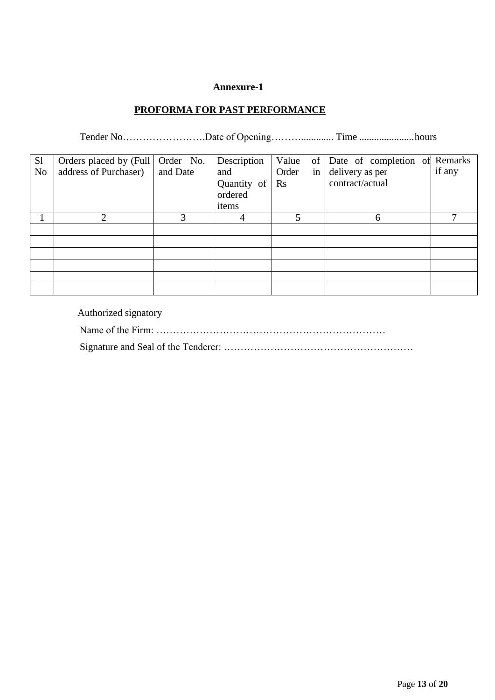# **PROFORMA FOR PAST PERFORMANCE**

Tender No…………………….Date of Opening………............. Time ......................hours

| S1             | Orders placed by (Full   Order No. |          | Description | Value       | of Date of completion of Remarks |        |
|----------------|------------------------------------|----------|-------------|-------------|----------------------------------|--------|
| N <sub>0</sub> | address of Purchaser)              | and Date | and         | Order<br>in | delivery as per                  | if any |
|                |                                    |          | Quantity of | $\rm Rs$    | contract/actual                  |        |
|                |                                    |          | ordered     |             |                                  |        |
|                |                                    |          | items       |             |                                  |        |
|                | ∍                                  |          |             | 5           | 6                                | −      |
|                |                                    |          |             |             |                                  |        |
|                |                                    |          |             |             |                                  |        |
|                |                                    |          |             |             |                                  |        |
|                |                                    |          |             |             |                                  |        |
|                |                                    |          |             |             |                                  |        |
|                |                                    |          |             |             |                                  |        |

Authorized signatory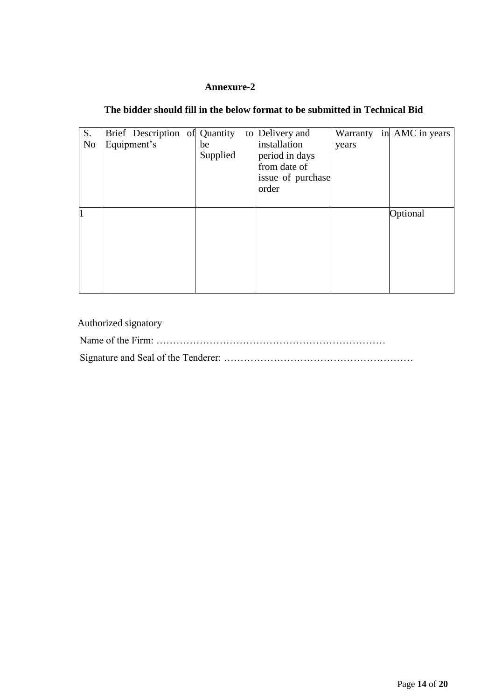# **The bidder should fill in the below format to be submitted in Technical Bid**

| S.<br>N <sub>o</sub> | Brief Description of Quantity<br>Equipment's | be<br>Supplied | to Delivery and<br>installation<br>period in days<br>from date of<br>issue of purchase<br>order | years | Warranty in AMC in years |
|----------------------|----------------------------------------------|----------------|-------------------------------------------------------------------------------------------------|-------|--------------------------|
| $\vert$ 1            |                                              |                |                                                                                                 |       | Optional                 |

| Authorized signatory |
|----------------------|
|                      |
|                      |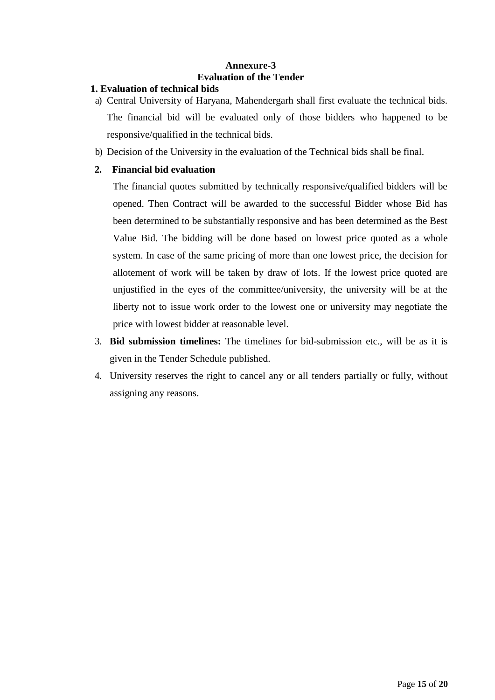# **Annexure-3 Evaluation of the Tender**

# **1. Evaluation of technical bids**

- a) Central University of Haryana, Mahendergarh shall first evaluate the technical bids. The financial bid will be evaluated only of those bidders who happened to be responsive/qualified in the technical bids.
- b) Decision of the University in the evaluation of the Technical bids shall be final.

# **2. Financial bid evaluation**

The financial quotes submitted by technically responsive/qualified bidders will be opened. Then Contract will be awarded to the successful Bidder whose Bid has been determined to be substantially responsive and has been determined as the Best Value Bid. The bidding will be done based on lowest price quoted as a whole system. In case of the same pricing of more than one lowest price, the decision for allotement of work will be taken by draw of lots. If the lowest price quoted are unjustified in the eyes of the committee/university, the university will be at the liberty not to issue work order to the lowest one or university may negotiate the price with lowest bidder at reasonable level.

- 3. **Bid submission timelines:** The timelines for bid-submission etc., will be as it is given in the Tender Schedule published.
- 4. University reserves the right to cancel any or all tenders partially or fully, without assigning any reasons.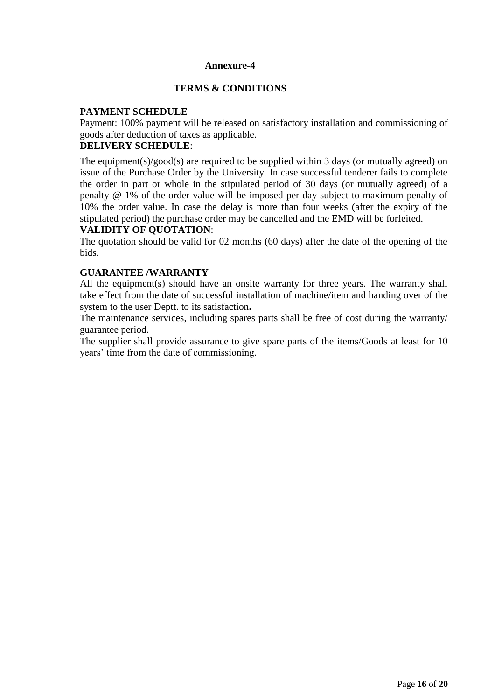## **TERMS & CONDITIONS**

# **PAYMENT SCHEDULE**

Payment: 100% payment will be released on satisfactory installation and commissioning of goods after deduction of taxes as applicable.

# **DELIVERY SCHEDULE**:

The equipment(s)/good(s) are required to be supplied within 3 days (or mutually agreed) on issue of the Purchase Order by the University. In case successful tenderer fails to complete the order in part or whole in the stipulated period of 30 days (or mutually agreed) of a penalty @ 1% of the order value will be imposed per day subject to maximum penalty of 10% the order value. In case the delay is more than four weeks (after the expiry of the stipulated period) the purchase order may be cancelled and the EMD will be forfeited.

### **VALIDITY OF QUOTATION**:

The quotation should be valid for 02 months (60 days) after the date of the opening of the bids.

#### **GUARANTEE /WARRANTY**

All the equipment(s) should have an onsite warranty for three years. The warranty shall take effect from the date of successful installation of machine/item and handing over of the system to the user Deptt. to its satisfaction**.**

The maintenance services, including spares parts shall be free of cost during the warranty/ guarantee period.

The supplier shall provide assurance to give spare parts of the items/Goods at least for 10 years' time from the date of commissioning.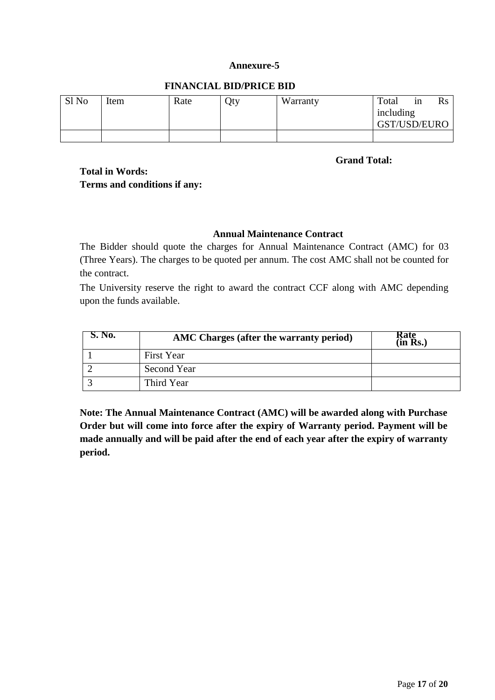# **FINANCIAL BID/PRICE BID**

| Sl No | Item | Rate | Qty | Warranty | Total<br>including<br>GST/USD/EURO | 1n | $\rm Rs$ |
|-------|------|------|-----|----------|------------------------------------|----|----------|
|       |      |      |     |          |                                    |    |          |

**Grand Total:**

# **Total in Words: Terms and conditions if any:**

# **Annual Maintenance Contract**

The Bidder should quote the charges for Annual Maintenance Contract (AMC) for 03 (Three Years). The charges to be quoted per annum. The cost AMC shall not be counted for the contract.

The University reserve the right to award the contract CCF along with AMC depending upon the funds available.

| $\sim$ No. | AMC Charges (after the warranty period) | kate<br>$(in$ $Rs.)$ |
|------------|-----------------------------------------|----------------------|
|            | <b>First Year</b>                       |                      |
|            | Second Year                             |                      |
|            | Third Year                              |                      |

**Note: The Annual Maintenance Contract (AMC) will be awarded along with Purchase Order but will come into force after the expiry of Warranty period. Payment will be made annually and will be paid after the end of each year after the expiry of warranty period.**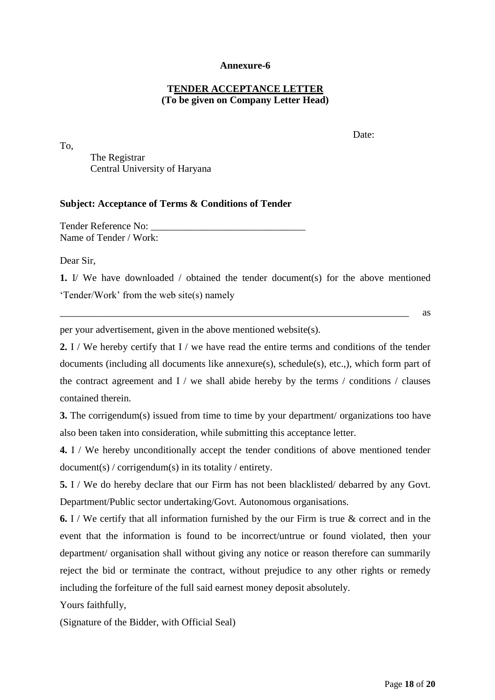## **TENDER ACCEPTANCE LETTER (To be given on Company Letter Head)**

To,

Date:

The Registrar Central University of Haryana

#### **Subject: Acceptance of Terms & Conditions of Tender**

Tender Reference No: Name of Tender / Work:

Dear Sir,

**1.** I/ We have downloaded / obtained the tender document(s) for the above mentioned 'Tender/Work' from the web site(s) namely

 $\overline{\phantom{a}}$  as

per your advertisement, given in the above mentioned website(s).

**2.** I / We hereby certify that I / we have read the entire terms and conditions of the tender documents (including all documents like annexure(s), schedule(s), etc.,), which form part of the contract agreement and  $I /$  we shall abide hereby by the terms  $/$  conditions  $/$  clauses contained therein.

**3.** The corrigendum(s) issued from time to time by your department/ organizations too have also been taken into consideration, while submitting this acceptance letter.

**4.** I / We hereby unconditionally accept the tender conditions of above mentioned tender document(s) / corrigendum(s) in its totality / entirety.

**5.** I / We do hereby declare that our Firm has not been blacklisted/ debarred by any Govt. Department/Public sector undertaking/Govt. Autonomous organisations.

**6.** I / We certify that all information furnished by the our Firm is true & correct and in the event that the information is found to be incorrect/untrue or found violated, then your department/ organisation shall without giving any notice or reason therefore can summarily reject the bid or terminate the contract, without prejudice to any other rights or remedy including the forfeiture of the full said earnest money deposit absolutely.

Yours faithfully,

(Signature of the Bidder, with Official Seal)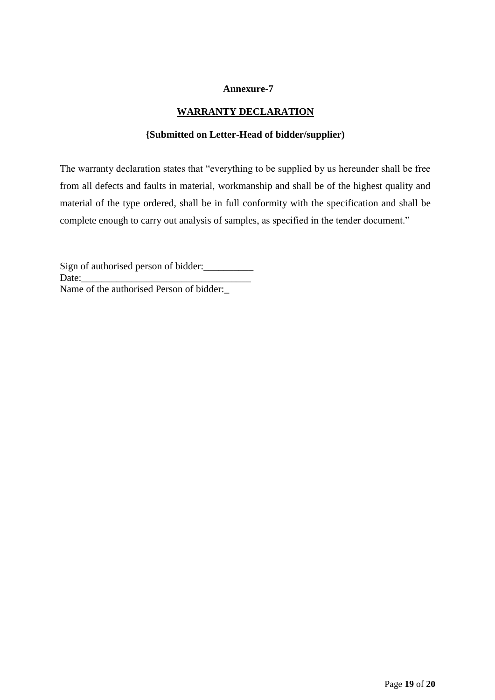# **WARRANTY DECLARATION**

## **{Submitted on Letter-Head of bidder/supplier)**

The warranty declaration states that "everything to be supplied by us hereunder shall be free from all defects and faults in material, workmanship and shall be of the highest quality and material of the type ordered, shall be in full conformity with the specification and shall be complete enough to carry out analysis of samples, as specified in the tender document."

Sign of authorised person of bidder: Date:\_\_\_\_\_\_\_\_\_\_\_\_\_\_\_\_\_\_\_\_\_\_\_\_\_\_\_\_\_\_\_\_\_\_ Name of the authorised Person of bidder:\_